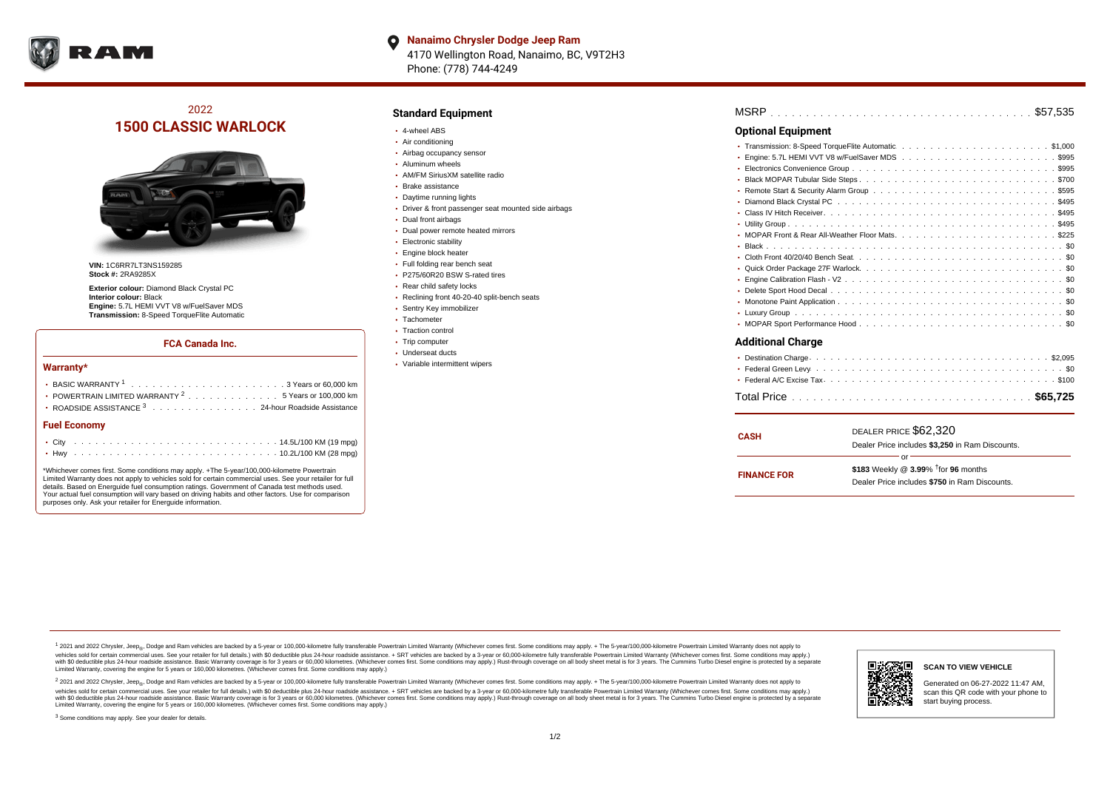

**Nanaimo Chrysler Dodge Jeep Ram**  $\bullet$ 4170 Wellington Road, Nanaimo, BC, V9T2H3 Phone: (778) 744-4249

# 2022 **1500 CLASSIC WARLOCK**



**VIN:** 1C6RR7LT3NS159285 **Stock #:** 2RA9285X

**Exterior colour:** Diamond Black Crystal PC **Interior colour:** Black **Engine:** 5.7L HEMI VVT V8 w/FuelSaver MDS **Transmission:** 8-Speed TorqueFlite Automatic

### **FCA Canada Inc.**

#### **Warranty\***

| POWERTRAIN LIMITED WARRANTY $2, \ldots, \ldots, \ldots, \ldots, 5$ Years or 100,000 km |  |  |  |  |  |  |
|----------------------------------------------------------------------------------------|--|--|--|--|--|--|
| • ROADSIDE ASSISTANCE 3 24-hour Roadside Assistance                                    |  |  |  |  |  |  |
| <b>Fuel Economy</b>                                                                    |  |  |  |  |  |  |
|                                                                                        |  |  |  |  |  |  |

. . . . . . . . . . . . . . . . . . . . . . . . . . . . . . . . . . . . . . . . . . . Hwy 10.2L/100 KM (28 mpg) \*Whichever comes first. Some conditions may apply. +The 5-year/100,000-kilometre Powertrain Limited Warranty does not apply to vehicles sold for certain commercial uses. See your retailer for full

details. Based on Energuide fuel consumption ratings. Government of Canada test methods used. Your actual fuel consumption will vary based on driving habits and other factors. Use for comparison purposes only. Ask your retailer for Energuide information.

## **Standard Equipment**

- 4-wheel ABS
- Air conditioning
- Airbag occupancy sensor
- Aluminum wheels
- AM/FM SiriusXM satellite radio
- Brake assistance
- Daytime running lights
- Driver & front passenger seat mounted side airbags
- Dual front airbags
- Dual power remote heated mirrors
- **Electronic stability**
- Engine block heater
- Full folding rear bench seat
- P275/60R20 BSW S-rated tires
- Rear child safety locks
- Reclining front 40-20-40 split-bench seats
- Sentry Key immobilizer
- Tachometer
- Traction control • Trip computer
- Underseat ducts
- Variable intermittent wipers

| <b>Optional Equipment</b> |
|---------------------------|
|                           |
|                           |
|                           |
|                           |
|                           |
|                           |
|                           |
|                           |
|                           |
|                           |
|                           |
|                           |
|                           |
|                           |
|                           |
|                           |
|                           |
| <b>Additional Charge</b>  |
|                           |
|                           |
|                           |

| <b>CASH</b>        | DEALER PRICE \$62,320<br>Dealer Price includes \$3,250 in Ram Discounts.                                  |  |  |  |  |  |
|--------------------|-----------------------------------------------------------------------------------------------------------|--|--|--|--|--|
| <b>FINANCE FOR</b> | or<br>\$183 Weekly @ $3.99\%$ <sup>†</sup> for 96 months<br>Dealer Price includes \$750 in Ram Discounts. |  |  |  |  |  |

. . . . . . . . . . . . . . . . . . . . . . . . . . . . . . . . . . . . . . . . . . . . . . Total Price **\$65,725**

<sup>1</sup> 2021 and 2022 Chrysler, Jeep<sub>®</sub>, Dodge and Ram vehicles are backed by a 5-year or 100,000-kilometre fully transferable Powertrain Limited Warranty (Whichever comes first. Some conditions may apply. + The 5-year/100,000 vehicles sold for certain commercial uses. See your retailer for full details.) with \$0 deductible plus 24 hour roadside assistance. + SRT vehicles are backed by a 3-year or 60,000-kilometre fully transferable Powertrain L versus and contract the mean of the contract of the contract with a contract with a contract the contract of the contract of the contract the contract of the contract of the contract of the contract of the contract of the Limited Warranty, covering the engine for 5 years or 160,000 kilometres. (Whichever comes first. Some conditions may apply.)

2 2021 and 2022 Chrysler, Jeep<sub>®</sub>, Dodge and Ram vehicles are backed by a 5-year or 100,000-kilometre fully transferable Powertrain Limited Warranty (Whichever comes first. Some conditions may apply. + The 5-year/100,000-k vehicles sold for certain commercial uses. See your retailer for full details.) with SO deductible plus 24-hour roadside assistance. + SRT vehicles are backed by a 3-year or 60.000-kilometre fully transferable Powertrain. with S0 deductible plus 24-hour roadside assistance. Basic Warranty coverage is for 3 years or 60,000 kilometres. (Whichever comes first. Some conditions may apply.) Rust-through coverage on all body sheet metal is for 3 y



#### **SCAN TO VIEW VEHICLE**

Generated on 06-27-2022 11:47 AM, scan this QR code with your phone to start buying process.

<sup>3</sup> Some conditions may apply. See your dealer for details.